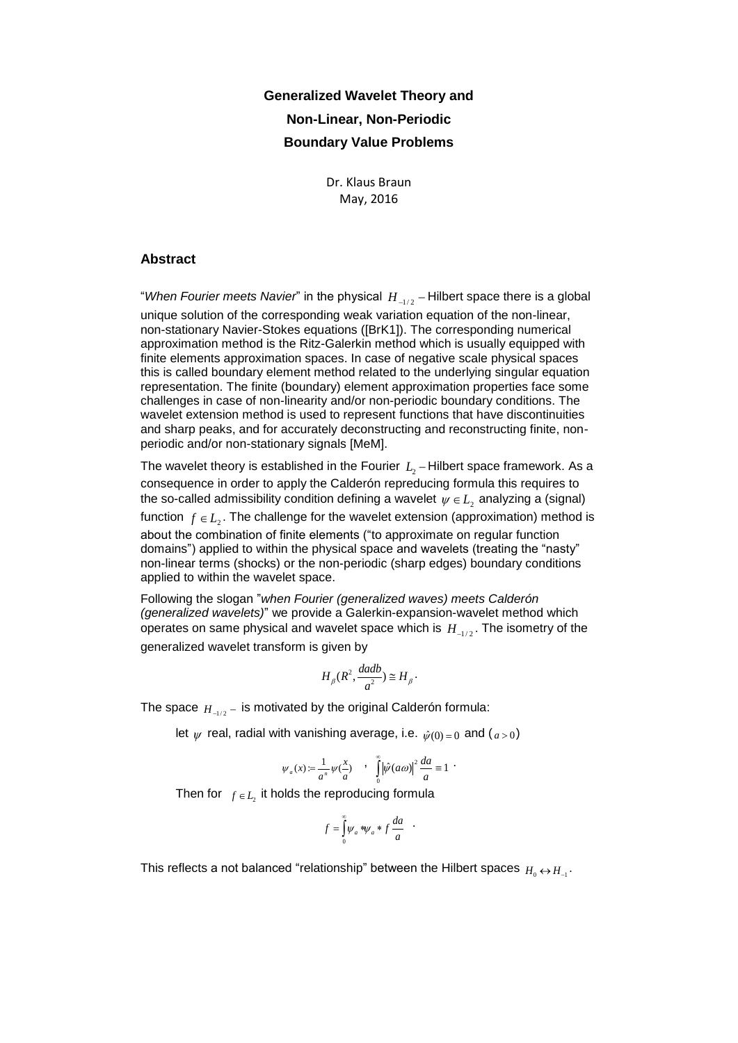## **Generalized Wavelet Theory and Non-Linear, Non-Periodic Boundary Value Problems**

Dr. Klaus Braun May, 2016

## **Abstract**

"*When Fourier meets Navier*" in the physical  $H_{_{-1/2}}$  – Hilbert space there is a global unique solution of the corresponding weak variation equation of the non-linear, non-stationary Navier-Stokes equations ([BrK1]). The corresponding numerical approximation method is the Ritz-Galerkin method which is usually equipped with finite elements approximation spaces. In case of negative scale physical spaces this is called boundary element method related to the underlying singular equation representation. The finite (boundary) element approximation properties face some challenges in case of non-linearity and/or non-periodic boundary conditions. The wavelet extension method is used to represent functions that have discontinuities and sharp peaks, and for accurately deconstructing and reconstructing finite, nonperiodic and/or non-stationary signals [MeM].

The wavelet theory is established in the Fourier  $L_{2}$  – Hilbert space framework. As a consequence in order to apply the Calderón repreducing formula this requires to the so-called admissibility condition defining a wavelet  $\psi \in L_{_2}$  analyzing a (signal) function  $f \in L_2$ . The challenge for the wavelet extension (approximation) method is about the combination of finite elements ("to approximate on regular function domains") applied to within the physical space and wavelets (treating the "nasty" non-linear terms (shocks) or the non-periodic (sharp edges) boundary conditions applied to within the wavelet space.

Following the slogan "*when Fourier (generalized waves) meets Calderón (generalized wavelets)*" we provide a Galerkin-expansion-wavelet method which operates on same physical and wavelet space which is  $\,H_{_{-1/2}}.$  The isometry of the generalized wavelet transform is given by

$$
H_{\beta}(R^2, \frac{dadb}{a^2}) \cong H_{\beta}.
$$

The space  $\overline{H}_{\scriptscriptstyle -1/2} -$  is motivated by the original Calderón formula:

let  $\psi$  real, radial with vanishing average, i.e.  $\hat{\psi}(0)$  = 0 and (a > 0)

$$
\psi_a(x) = \frac{1}{a^n} \psi(\frac{x}{a}) \qquad \int_0^\infty |\hat{\psi}(a\omega)|^2 \frac{da}{a} \equiv 1
$$

Then for  $f \in L_2$  it holds the reproducing formula

$$
f = \int_{0}^{\infty} \psi_a * \psi_a * f \frac{da}{a} .
$$

This reflects a not balanced "relationship" between the Hilbert spaces  $_{H_0}\nleftrightarrow$   $_{H_{-1}}\n$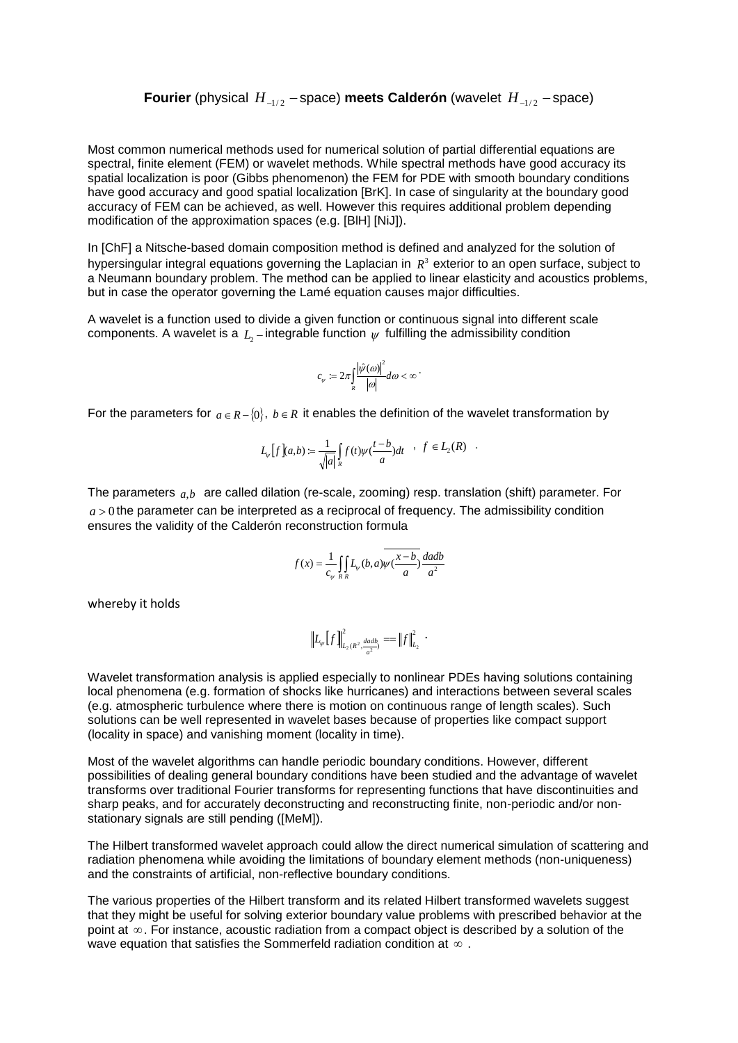**Fourier** (physical  $H_{-1/2}$  -space) **meets Calderón** (wavelet  $H_{-1/2}$  -space)

Most common numerical methods used for numerical solution of partial differential equations are spectral, finite element (FEM) or wavelet methods. While spectral methods have good accuracy its spatial localization is poor (Gibbs phenomenon) the FEM for PDE with smooth boundary conditions have good accuracy and good spatial localization [BrK]. In case of singularity at the boundary good accuracy of FEM can be achieved, as well. However this requires additional problem depending modification of the approximation spaces (e.g. [BlH] [NiJ]).

In [ChF] a Nitsche-based domain composition method is defined and analyzed for the solution of hypersingular integral equations governing the Laplacian in  $R<sup>3</sup>$  exterior to an open surface, subject to a Neumann boundary problem. The method can be applied to linear elasticity and acoustics problems, but in case the operator governing the Lamé equation causes major difficulties.

A wavelet is a function used to divide a given function or continuous signal into different scale components. A wavelet is a  $L_{\text{2}}$  – integrable function  $\psi$  fulfilling the admissibility condition

$$
c_{\psi} := 2\pi \int_{R} \frac{|\hat{\psi}(\omega)|^{2}}{|\omega|} d\omega < \infty
$$

For the parameters for  $a \in R - \{0\}$ ,  $b \in R$  it enables the definition of the wavelet transformation by

$$
L_{\psi}\left[f\right](a,b):=\frac{1}{\sqrt{|a|}}\int\limits_{R}f(t)\psi(\frac{t-b}{a})dt\quad,\quad f\in L_{2}(R)\quad.
$$

The parameters *a*,*b* are called dilation (re-scale, zooming) resp. translation (shift) parameter. For  $a > 0$  the parameter can be interpreted as a reciprocal of frequency. The admissibility condition ensures the validity of the Calderón reconstruction formula

$$
f(x) = \frac{1}{c_{\psi}} \iint_{R} L_{\psi}(b, a) \overline{\psi(\frac{x-b}{a})} \frac{dadb}{a^2}
$$

whereby it holds

$$
\left\| L_{\nu} \left[ f \right] \right\|_{L_2(R^2, \frac{dadb}{a^2})}^2 = \left\| f \right\|_{L_2}^2.
$$

Wavelet transformation analysis is applied especially to nonlinear PDEs having solutions containing local phenomena (e.g. formation of shocks like hurricanes) and interactions between several scales (e.g. atmospheric turbulence where there is motion on continuous range of length scales). Such solutions can be well represented in wavelet bases because of properties like compact support (locality in space) and vanishing moment (locality in time).

Most of the wavelet algorithms can handle periodic boundary conditions. However, different possibilities of dealing general boundary conditions have been studied and the advantage of wavelet transforms over traditional Fourier transforms for representing functions that have discontinuities and sharp peaks, and for accurately deconstructing and reconstructing finite, non-periodic and/or nonstationary signals are still pending ([MeM]).

The Hilbert transformed wavelet approach could allow the direct numerical simulation of scattering and radiation phenomena while avoiding the limitations of boundary element methods (non-uniqueness) and the constraints of artificial, non-reflective boundary conditions.

The various properties of the Hilbert transform and its related Hilbert transformed wavelets suggest that they might be useful for solving exterior boundary value problems with prescribed behavior at the point at  $\infty$ . For instance, acoustic radiation from a compact object is described by a solution of the wave equation that satisfies the Sommerfeld radiation condition at  $\infty$  .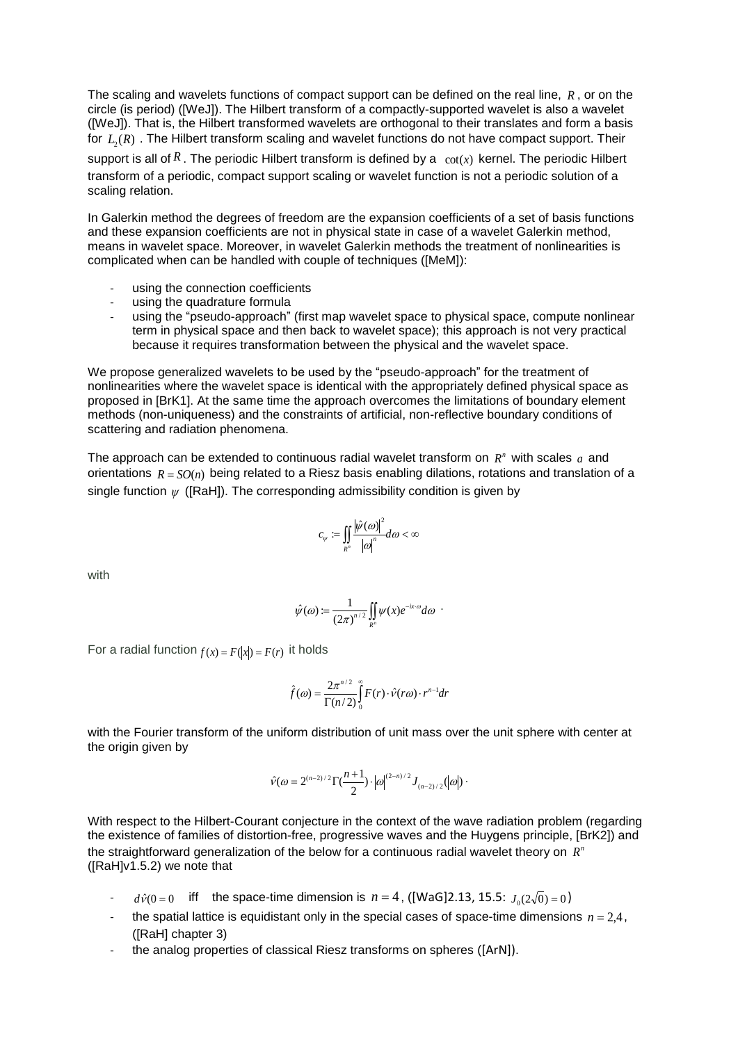The scaling and wavelets functions of compact support can be defined on the real line, *R* , or on the circle (is period) ([WeJ]). The Hilbert transform of a compactly-supported wavelet is also a wavelet ([WeJ]). That is, the Hilbert transformed wavelets are orthogonal to their translates and form a basis for  $\, L_{\rm 2}(R)$  . The Hilbert transform scaling and wavelet functions do not have compact support. Their

support is all of R. The periodic Hilbert transform is defined by a  $\cot(x)$  kernel. The periodic Hilbert transform of a periodic, compact support scaling or wavelet function is not a periodic solution of a scaling relation.

In Galerkin method the degrees of freedom are the expansion coefficients of a set of basis functions and these expansion coefficients are not in physical state in case of a wavelet Galerkin method, means in wavelet space. Moreover, in wavelet Galerkin methods the treatment of nonlinearities is complicated when can be handled with couple of techniques ([MeM]):

- using the connection coefficients
- using the quadrature formula
- using the "pseudo-approach" (first map wavelet space to physical space, compute nonlinear term in physical space and then back to wavelet space); this approach is not very practical because it requires transformation between the physical and the wavelet space.

We propose generalized wavelets to be used by the "pseudo-approach" for the treatment of nonlinearities where the wavelet space is identical with the appropriately defined physical space as proposed in [BrK1]. At the same time the approach overcomes the limitations of boundary element methods (non-uniqueness) and the constraints of artificial, non-reflective boundary conditions of scattering and radiation phenomena.

The approach can be extended to continuous radial wavelet transform on  $R<sup>n</sup>$  with scales  $a$  and orientations  $R = SO(n)$  being related to a Riesz basis enabling dilations, rotations and translation of a single function  $\psi$  ([RaH]). The corresponding admissibility condition is given by

$$
c_{\psi} := \iint\limits_{R^n} \frac{|\hat{\psi}(\omega)|^2}{|\omega|^n} d\omega < \infty
$$

with

$$
\hat{\psi}(\omega) \coloneqq \frac{1}{(2\pi)^{n/2}} \iint\limits_{R^n} \psi(x) e^{-ix\cdot\omega} d\omega \enspace \cdot
$$

For a radial function  $f(x) = F(|x|) = F(r)$  it holds

$$
\hat{f}(\omega) = \frac{2\pi^{n/2}}{\Gamma(n/2)} \int_{0}^{\infty} F(r) \cdot \hat{v}(r\omega) \cdot r^{n-1} dr
$$

with the Fourier transform of the uniform distribution of unit mass over the unit sphere with center at the origin given by

$$
\hat{v}(\omega = 2^{(n-2)/2} \Gamma(\frac{n+1}{2}) \cdot |\omega|^{(2-n)/2} J_{(n-2)/2}(|\omega|) \cdot
$$

With respect to the Hilbert-Courant conjecture in the context of the wave radiation problem (regarding the existence of families of distortion-free, progressive waves and the Huygens principle, [BrK2]) and the straightforward generalization of the below for a continuous radial wavelet theory on  $R<sup>n</sup>$ ([RaH]v1.5.2) we note that

- $d\hat{v}(0=0$  iff the space-time dimension is  $n = 4$ , ([WaG]2.13, 15.5:  $J_0(2\sqrt{0}) = 0$ )
- the spatial lattice is equidistant only in the special cases of space-time dimensions  $n = 2, 4$ , ([RaH] chapter 3)
- the analog properties of classical Riesz transforms on spheres ([ArN]).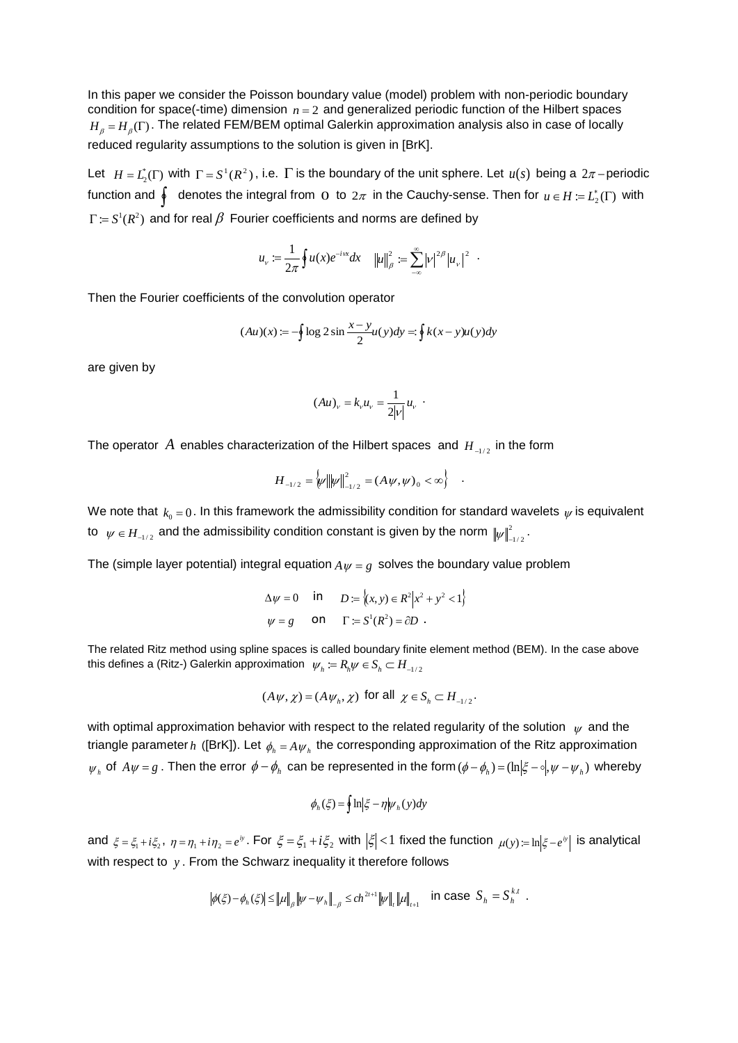In this paper we consider the Poisson boundary value (model) problem with non-periodic boundary condition for space(-time) dimension  $n = 2$  and generalized periodic function of the Hilbert spaces  $H_{_\beta}$  =  $H_{_\beta}(\Gamma)$ . The related FEM/BEM optimal Galerkin approximation analysis also in case of locally reduced regularity assumptions to the solution is given in [BrK].

Let  $H = L_2^*(\Gamma)$  with  $\Gamma = S^1(R^2)$ , i.e.  $\Gamma$  is the boundary of the unit sphere. Let  $u(s)$  being a  $2\pi$ -periodic function and  $\oint$  denotes the integral from  $\Omega$  to  $2\pi$  in the Cauchy-sense. Then for  $u \in H \coloneqq L_2^*(\Gamma)$  with  $\Gamma \coloneqq S^1(R^2)$  and for real  $\beta$  Fourier coefficients and norms are defined by

$$
u_{\nu} := \frac{1}{2\pi} \oint u(x) e^{-i\kappa x} dx \quad ||u||_{\beta}^{2} := \sum_{-\infty}^{\infty} |v|^{2\beta} |u_{\nu}|^{2}.
$$

Then the Fourier coefficients of the convolution operator

$$
(Au)(x) := -\oint \log 2 \sin \frac{x - y}{2} u(y) dy = \oint k(x - y) u(y) dy
$$

are given by

$$
(Au)_{v} = k_{v} u_{v} = \frac{1}{2|v|} u_{v}.
$$

The operator  $A$  enables characterization of the Hilbert spaces and  $H_{A_{1/2}}$  in the form

$$
H_{-1/2} = \big\{\psi \big\| \psi \big\|_{-1/2}^2 = (A \psi, \psi)_0 < \infty \big\} \quad .
$$

We note that  $k_0 = 0$ . In this framework the admissibility condition for standard wavelets  $\psi$  is equivalent to  $\;\;\psi\in H_{_{-1/2}}\;$  and the admissibility condition constant is given by the norm  $\;\;\|\psi\|^2_{_{-1/2}}\,.$ 

The (simple layer potential) integral equation  $A_\mathit{W} = g$  solves the boundary value problem

$$
\Delta \psi = 0 \quad \text{in} \quad D := \{(x, y) \in R^2 | x^2 + y^2 < 1 \}
$$
\n
$$
\psi = g \quad \text{on} \quad \Gamma := S^1 (R^2) = \partial D \ .
$$

The related Ritz method using spline spaces is called boundary finite element method (BEM). In the case above this defines a (Ritz-) Galerkin approximation  $\;\;\psi_{_h}:=R_{_h}\!\psi\in S_{_h}\,\subset H_{_{-1/2}}$ 

$$
(A\psi, \chi) = (A\psi_h, \chi) \text{ for all } \chi \in S_h \subset H_{-1/2}.
$$

with optimal approximation behavior with respect to the related regularity of the solution  $\psi$  and the triangle parameter  $h$  ([BrK]). Let  $\phi_{_h}=A\,\psi_{_h}$  the corresponding approximation of the Ritz approximation  $\psi_h$  of  $A\psi = g$ . Then the error  $\phi - \phi_h$  can be represented in the form  $(\phi - \phi_h) = (\ln|\xi - \phi|, \psi - \psi_h)$  whereby

$$
\phi_h(\xi) = \oint \ln \left|\xi - \eta \middle| \psi_h(y) \, dy \right|
$$

and  $\xi = \xi_1 + i\xi_2$ ,  $\eta = \eta_1 + i\eta_2 = e^{iy}$ . For  $\xi = \xi_1 + i\xi_2$  with  $|\xi| < 1$  fixed the function  $\mu(y) = \ln |\xi - e^{iy}|$  is analytical with respect to *y* . From the Schwarz inequality it therefore follows

$$
\left|\phi(\xi) - \phi_h(\xi)\right| \le \left\|\mu\right\|_{\beta} \left\|\psi - \psi_h\right\|_{-\beta} \le c h^{2t+1} \left\|\psi\right\|_{t} \left\|\mu\right\|_{t+1} \quad \text{in case } S_h = S_h^{k,t}.
$$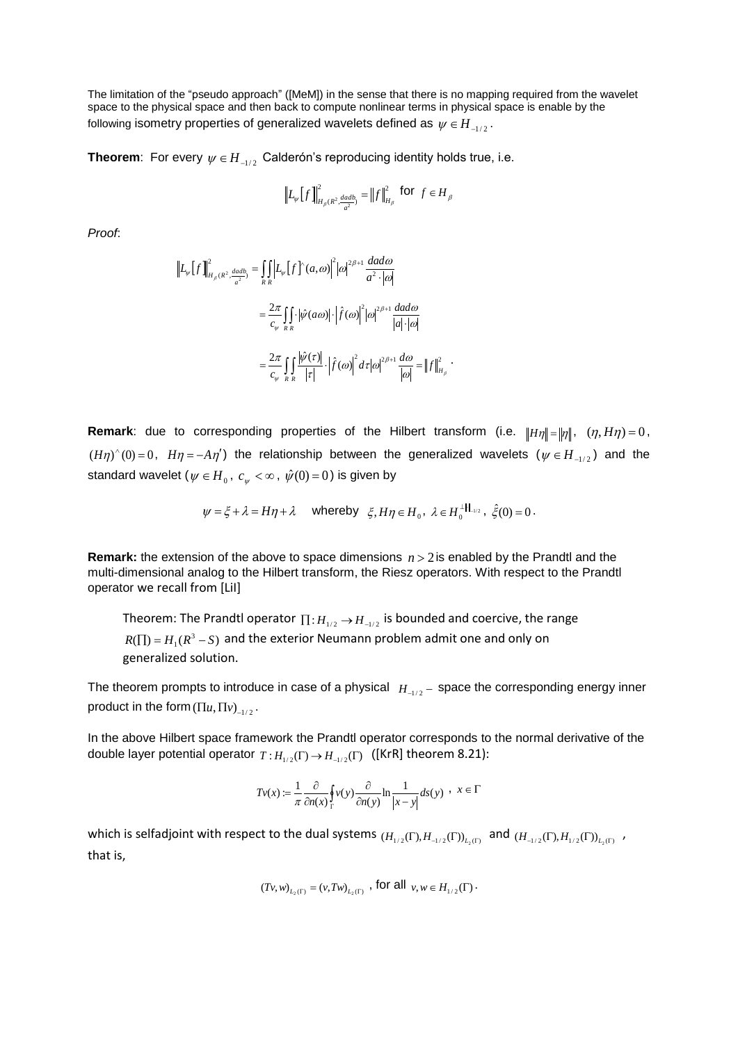The limitation of the "pseudo approach" ([MeM]) in the sense that there is no mapping required from the wavelet space to the physical space and then back to compute nonlinear terms in physical space is enable by the following isometry properties of generalized wavelets defined as  $\,psi \in H_{_{-1/2}} .$ 

**Theorem**: For every  $\psi \in H_{-1/2}$  Calderón's reproducing identity holds true, i.e.

$$
\left\| L_{\psi} \left[ f \right] \right\|_{H_{\beta}(R^2, \frac{dadb}{a^2})}^2 = \left\| f \right\|_{H_{\beta}}^2 \text{ for } f \in H_{\beta}
$$

*Proof*:

$$
\left\| L_{\psi} \left[ f \right] \right\|_{H_{\beta}(R^2, \frac{dadb}{a^2})}^2 = \iint_{R} \left| L_{\psi} \left[ f \right]^{x} (a, \omega) \right|^2 |\omega|^{2\beta+1} \frac{da d\omega}{a^2 \cdot |\omega|}
$$

$$
= \frac{2\pi}{c_{\psi}} \iint_{R} \left| \psi(a\omega) \right| \cdot \left| \hat{f}(\omega) \right|^2 |\omega|^{2\beta+1} \frac{da d\omega}{|a| \cdot |\omega|}
$$

$$
= \frac{2\pi}{c_{\psi}} \iint_{R} \frac{|\psi(\tau)|}{|\tau|} \cdot \left| \hat{f}(\omega) \right|^2 d\tau |\omega|^{2\beta+1} \frac{d\omega}{|\omega|} = \left\| f \right\|_{H_{\beta}}^2.
$$

**Remark**: due to corresponding properties of the Hilbert transform (i.e.  $||H\eta|| = ||\eta||$ ,  $(\eta, H\eta) = 0$ ,  $(H\eta)^{\wedge}(0)=0$ ,  $H\eta=-A\eta'$  the relationship between the generalized wavelets  $(\psi \in H_{-1/2})$  and the standard wavelet ( $\psi\in{H}_{_{0}}$ ,  $\it c_{_{\psi}}<\infty$  ,  $\hat{\psi}(0)\!=\!0)$  is given by

$$
\psi = \xi + \lambda = H\eta + \lambda \quad \text{whereby} \quad \xi, H\eta \in H_0, \ \lambda \in H_0^{\perp ||_{-1/2}}, \ \hat{\xi}(0) = 0 \, .
$$

**Remark:** the extension of the above to space dimensions  $n > 2$  is enabled by the Prandtl and the multi-dimensional analog to the Hilbert transform, the Riesz operators. With respect to the Prandtl operator we recall from [LiI]

Theorem: The Prandtl operator  $\prod$  :  $H_{1/2} \rightarrow H_{-1/2}$  is bounded and coercive, the range  $R(\Pi) = H_1(R^3 - S)$  and the exterior Neumann problem admit one and only on generalized solution.

The theorem prompts to introduce in case of a physical  $|H_{-1/2}$  – space the corresponding energy inner product in the form  $(\Pi u, \Pi v)_{-1/2}$  .

In the above Hilbert space framework the Prandtl operator corresponds to the normal derivative of the double layer potential operator  $T:H_{1/2}(\Gamma) \to H_{-1/2}(\Gamma)$  ([KrR] theorem 8.21):

$$
Tv(x) := \frac{1}{\pi} \frac{\partial}{\partial n(x)} \oint_{\Gamma} v(y) \frac{\partial}{\partial n(y)} \ln \frac{1}{|x - y|} ds(y) , \quad x \in \Gamma
$$

which is selfadjoint with respect to the dual systems  $(H_{1/2}(\Gamma),H_{-1/2}(\Gamma))_{L_2(\Gamma)}$  and  $(H_{-1/2}(\Gamma),H_{1/2}(\Gamma))_{L_2(\Gamma)}$  , that is,

$$
(Tv, w)_{L_2(\Gamma)} = (v, Tw)_{L_2(\Gamma)}
$$
, for all  $v, w \in H_{1/2}(\Gamma)$ .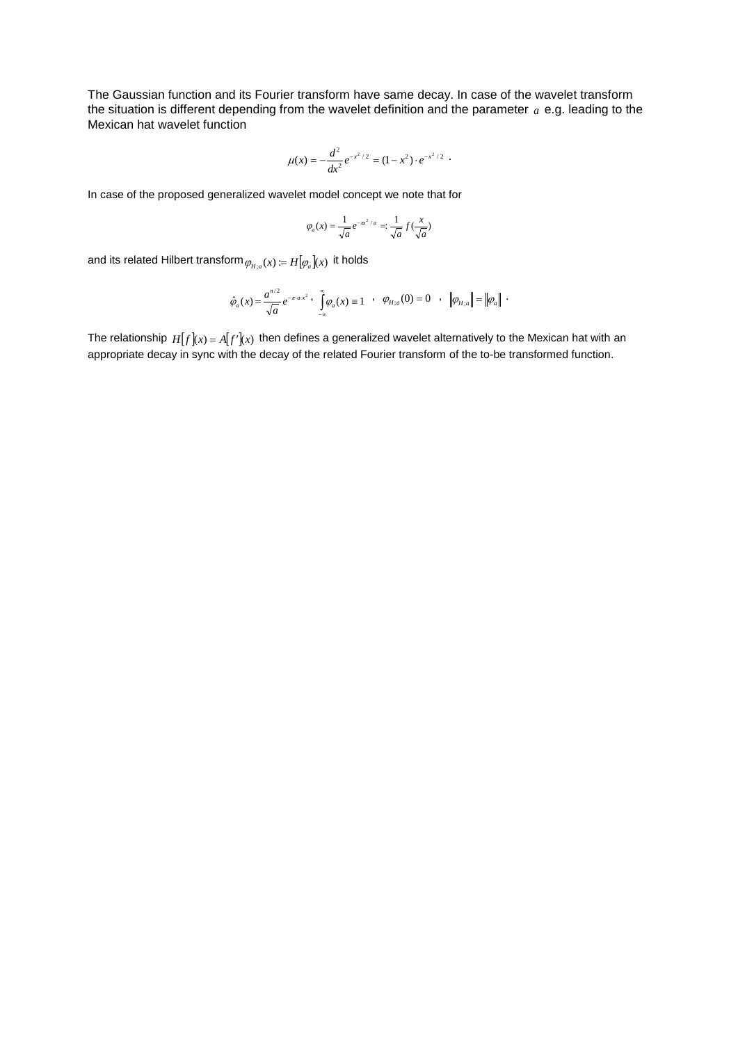The Gaussian function and its Fourier transform have same decay. In case of the wavelet transform the situation is different depending from the wavelet definition and the parameter *a* e.g. leading to the Mexican hat wavelet function

$$
\mu(x) = -\frac{d^2}{dx^2} e^{-x^2/2} = (1-x^2) \cdot e^{-x^2/2}
$$

In case of the proposed generalized wavelet model concept we note that for

$$
\varphi_a(x) = \frac{1}{\sqrt{a}} e^{-\pi x^2/a} = \frac{1}{\sqrt{a}} f(\frac{x}{\sqrt{a}})
$$

and its related Hilbert transform  $\mathcal{\varphi}_{H; a}(x) \coloneqq H\big[\mathcal{\varphi}_a\big](x)$  it holds

$$
\hat{\varphi}_a(x) = \frac{a^{n/2}}{\sqrt{a}} e^{-\pi \cdot a \cdot x^2}, \quad \hat{\int}_{-\infty}^{\infty} \varphi_a(x) = 1 \quad , \quad \varphi_{H,a}(0) = 0 \quad , \quad \left\| \varphi_{H,a} \right\| = \left\| \varphi_a \right\|.
$$

The relationship  $H[f](x) = A[f'](x)$  then defines a generalized wavelet alternatively to the Mexican hat with an appropriate decay in sync with the decay of the related Fourier transform of the to-be transformed function.